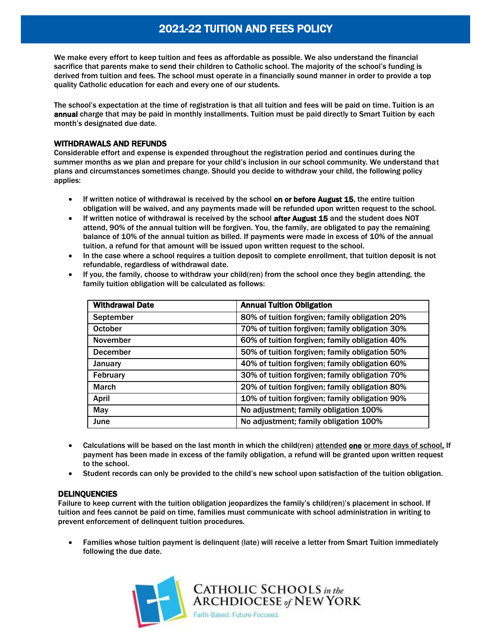# 2021-22 TUITION AND FEES POLICY

We make every effort to keep tuition and fees as affordable as possible. We also understand the financial sacrifice that parents make to send their children to Catholic school. The majority of the school's funding is derived from tuition and fees. The school must operate in a financially sound manner in order to provide a top quality Catholic education for each and every one of our students.

The school's expectation at the time of registration is that all tuition and fees will be paid on time. Tuition is an annual charge that may be paid in monthly installments. Tuition must be paid directly to Smart Tuition by each month's designated due date.

## WITHDRAWALS AND REFUNDS

Considerable effort and expense is expended throughout the registration period and continues during the summer months as we plan and prepare for your child's inclusion in our school community. We understand that plans and circumstances sometimes change. Should you decide to withdraw your child, the following policy applies:

- If written notice of withdrawal is received by the school on or before August 15, the entire tuition obligation will be waived, and any payments made will be refunded upon written request to the school.
- If written notice of withdrawal is received by the school after August 15 and the student does NOT attend, 90% of the annual tuition will be forgiven. You, the family, are obligated to pay the remaining balance of 10% of the annual tuition as billed. If payments were made in excess of 10% of the annual tuition, a refund for that amount will be issued upon written request to the school.
- In the case where a school requires a tuition deposit to complete enrollment, that tuition deposit is not refundable, regardless of withdrawal date.
- If you, the family, choose to withdraw your child(ren) from the school once they begin attending, the family tuition obligation will be calculated as follows:

| <b>Withdrawal Date</b> | <b>Annual Tuition Obligation</b>               |
|------------------------|------------------------------------------------|
| September              | 80% of tuition forgiven; family obligation 20% |
| <b>October</b>         | 70% of tuition forgiven; family obligation 30% |
| <b>November</b>        | 60% of tuition forgiven; family obligation 40% |
| <b>December</b>        | 50% of tuition forgiven; family obligation 50% |
| <b>January</b>         | 40% of tuition forgiven; family obligation 60% |
| February               | 30% of tuition forgiven; family obligation 70% |
| <b>March</b>           | 20% of tuition forgiven; family obligation 80% |
| April                  | 10% of tuition forgiven; family obligation 90% |
| May                    | No adjustment; family obligation 100%          |
| June                   | No adjustment; family obligation 100%          |

- Calculations will be based on the last month in which the child(ren) attended one or more days of school. If payment has been made in excess of the family obligation, a refund will be granted upon written request to the school.
- Student records can only be provided to the child's new school upon satisfaction of the tuition obligation.

### DELINQUENCIES

Failure to keep current with the tuition obligation jeopardizes the family's child(ren)'s placement in school. If tuition and fees cannot be paid on time, families must communicate with school administration in writing to prevent enforcement of delinquent tuition procedures.

 Families whose tuition payment is delinquent (late) will receive a letter from Smart Tuition immediately following the due date.